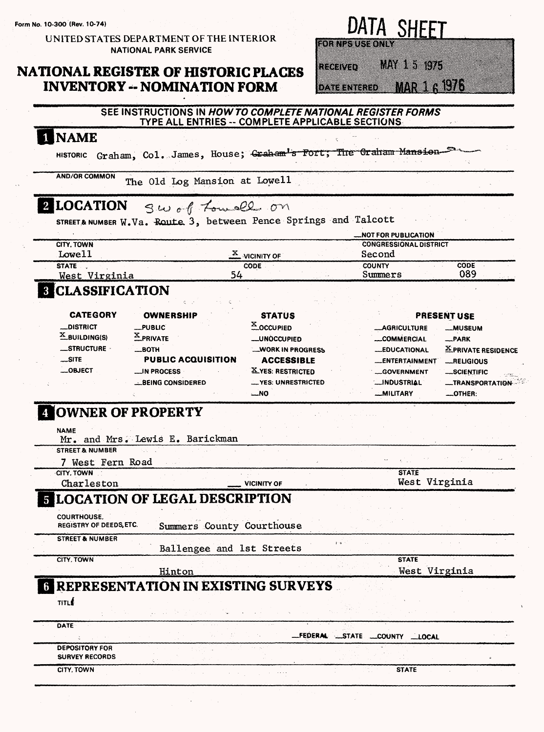**Form No. 10-300 (Rev 10-74)**

UNITED STATES DEPARTMENT OF THE INTERIOR NATIONAL PARK SERVICE

## **NATIONAL REGISTER OF HISTORIC PLACES INVENTORY - NOMINATION FORM**

# DATA SHEET

MAY 15 1975 heenvar

DATERVIERED MAR 1 61976

|                                                      | TYPE ALL ENTRIES -- COMPLETE APPLICABLE SECTIONS                |                                    | SEE INSTRUCTIONS IN HOW TO COMPLETE NATIONAL REGISTER FORMS |                            |
|------------------------------------------------------|-----------------------------------------------------------------|------------------------------------|-------------------------------------------------------------|----------------------------|
| 1 NAME                                               |                                                                 |                                    |                                                             |                            |
| <b>HISTORIC</b>                                      | Graham, Col. James, House; Graham's Fort; The Graham Mansion-   |                                    |                                                             |                            |
| <b>AND/OR COMMON</b>                                 | The Old Log Mansion at Lowell                                   |                                    |                                                             |                            |
| 2 LOCATION                                           | Sw of Lowell on                                                 |                                    |                                                             |                            |
|                                                      | STREET& NUMBER W.Va. Route 3, between Pence Springs and Talcott |                                    | <b>NOT FOR PUBLICATION</b>                                  |                            |
| <b>CITY, TOWN</b>                                    |                                                                 |                                    | <b>CONGRESSIONAL DISTRICT</b>                               |                            |
| Lowe11                                               |                                                                 | $\frac{\mathbf{x}}{2}$ vicinity of | Second                                                      |                            |
| <b>STATE</b><br>West Virginia                        | 54                                                              | <b>CODE</b>                        | <b>COUNTY</b><br>Summers                                    | <b>CODE</b><br>089         |
| <b>8 CLASSIFICATION</b>                              |                                                                 |                                    |                                                             |                            |
| <b>CATEGORY</b>                                      | <b>OWNERSHIP</b>                                                | <b>STATUS</b>                      |                                                             | <b>PRESENT USE</b>         |
| _DISTRICT                                            | _PUBLIC                                                         | X OCCUPIED                         | <b>__AGRICULTURE</b>                                        | <b>__MUSEUM</b>            |
| $X$ BUILDING(S)                                      | $X$ PRIVATE                                                     | <b>_UNÓCCUPIED</b>                 | <b>COMMERCIAL</b>                                           | __PARK                     |
| __STRUCTURE -                                        | __вотн                                                          | <b>WORK IN PROGRESS</b>            | __EDUCATIONAL                                               | <b>X PRIVATE RESIDENCE</b> |
| $\mathsf{L}$ site                                    | <b>PUBLIC ACQUISITION</b>                                       | <b>ACCESSIBLE</b>                  | __ENTERTAINMENT                                             | <b>_RELIGIOUS</b>          |
| $\equiv$ OBJECT                                      | __IN PROCESS                                                    | X YES: RESTRICTED                  | <b>GOVERNMENT</b>                                           | __SCIENTIFIC               |
|                                                      |                                                                 |                                    |                                                             |                            |
| 4 OWNER OF PROPERTY                                  | <b>BEING CONSIDERED</b>                                         | -YES: UNRESTRICTED<br>$-MO$        | <b>__INDUSTRIAL</b><br>__MILITARY                           | OTHER:                     |
| <b>NAME</b><br><b>STREET &amp; NUMBER</b>            | Mr. and Mrs. Lewis E. Barickman                                 |                                    |                                                             |                            |
| 7 West Fern Road                                     |                                                                 |                                    |                                                             |                            |
| CITY, TOWN                                           |                                                                 | <b>VICINITY OF</b>                 | <b>STATE</b>                                                |                            |
| Charleston                                           | <b>E LOCATION OF LEGAL DESCRIPTION</b>                          |                                    | West Virginia                                               |                            |
| <b>COURTHOUSE,</b><br><b>REGISTRY OF DEEDS, ETC.</b> | Summers County Courthouse                                       |                                    |                                                             |                            |
| <b>STREET &amp; NUMBER</b>                           | Ballengee and 1st Streets                                       | $\mathfrak{p}^+$ o                 |                                                             |                            |
| CITY, TOWN                                           |                                                                 |                                    | <b>STATE</b>                                                |                            |
|                                                      | Hinton<br><b>6 REPRESENTATION IN EXISTING SURVEYS</b>           |                                    | West Virginia                                               |                            |
| TITLE                                                |                                                                 |                                    |                                                             |                            |
| <b>DATE</b>                                          |                                                                 | <b>_FEDERAL</b>                    | <b>STATE</b><br><b>COUNTY</b><br>$\_\text{LOCAL}$           |                            |
| <b>DEPOSITORY FOR</b>                                |                                                                 |                                    |                                                             | <b>__TRANSPORTATION</b>    |
| <b>SURVEY RECORDS</b><br>CITY, TOWN                  |                                                                 |                                    | <b>STATE</b>                                                |                            |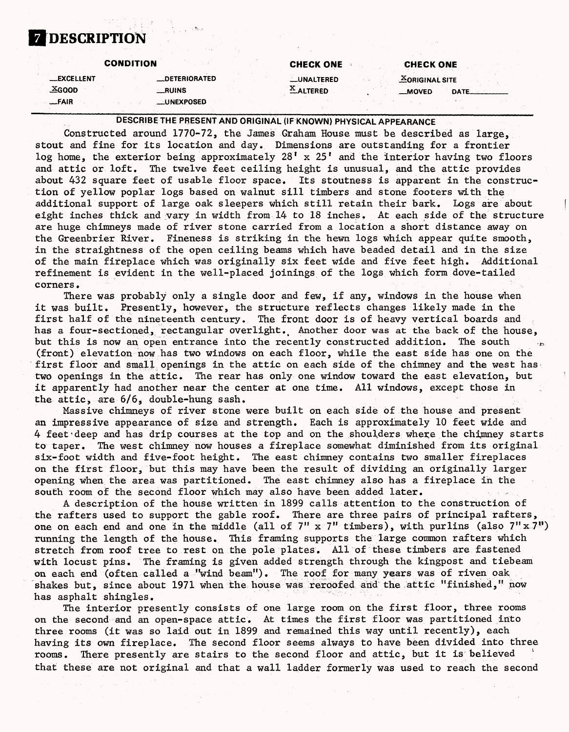## **DESCRIPTION**

#### **CONDITION CHECK ONE CHECK ONE —EXCELLENT —DETERIORATED —UNALTERED 2SORIGINALSITE —X.GOOD —RUINS ^.ALTERED —MOVED DATE. —FAIR —UNEXPOSED**

DESCRIBE THE PRESENT AND ORIGINAL (IF KNOWN) PHYSICAL APPEARANCE

Constructed around 1770-72, the James Graham House must be described as large, stout and fine for its location and day. Dimensions are outstanding for a frontier log home, the exterior being approximately 28' x 25' and the interior having two floors and attic or loft. The twelve feet ceiling height is unusual, and the attic provides about 432 square feet of usable floor space. Its stoutness is apparent in the construction of yellow poplar logs based on walnut sill timbers and stone footers with the additional support of large oak sleepers which still retain their bark. Logs are about eight inches thick and vary in width from 14 to 18 inches. At each side of the structure are huge chimneys made of river stone carried from a location a short distance away on the Greenbrier River. Fineness is striking in the hewn logs which appear quite smooth, in the straightness of the open ceiling beams which have beaded detail and in the size of the main fireplace which was originally six feet wide and five feet high. Additional refinement is evident in the well-placed joinings of the logs which form dove-tailed corners.

There was probably only a single door and few, if any, windows in the house when it was built. Presently, however, the structure reflects changes likely made in the first half of the nineteenth century. The front door is of heavy vertical boards and has a four-sectioned, rectangular overlight. Another door was at the back of the house, but this is now an open entrance into the recently constructed addition. The south (front) elevation now has two windows on each floor, while the east side has one on the first floor and small openings in the attic on each side of the chimney and the west has two openings in the attic. The rear has only one window toward the east elevation, but it apparently had another near the center at one time. All windows, except those in the attic, are  $6/6$ , double-hung sash.

Massive chimneys of river stone were built on each side of the house and present an impressive appearance of size and strength. Each is approximately 10 feet wide and 4 feet'deep and has drip courses at the top and on the shoulders where the chimney starts to taper. The west chimney now houses a fireplace somewhat diminished from its original six-foot width and five-foot height. The east chimney contains two smaller fireplaces on the first floor, but this may have been the result of dividing an originally larger opening when the area was partitioned. The east chimney also has a fireplace in the south room of the second floor which may also have been added later.

A description of the house written in 1899 calls attention to the construction of the rafters used to support the gable roof. There are three pairs of principal rafters, one on each end and one in the middle (all of  $7" x 7"$  timbers), with purlins (also  $7" x 7"$ ) running the length of the house. This framing supports the large common rafters which stretch from roof tree to rest on the pole plates. All of these timbers are fastened with locust pins. The framing is given added strength through the kingpost and tiebeam on each end (often called a "wind beam") The roof for many years was of riven oak shakes but, since about 1971 when the house was reroofed and the attic "finished," now has asphalt shingles.

The interior presently consists of one large room on the first floor, three rooms on the second and an open-space attic. At times the first floor was partitioned into three rooms (it was so laid out in 1899 and remained this way until recently), each having its own fireplace. The second floor seems always to have been divided into three rooms. There presently are stairs to the second floor and attic, but it is believed that these are not original and that a wall ladder formerly was used to reach the second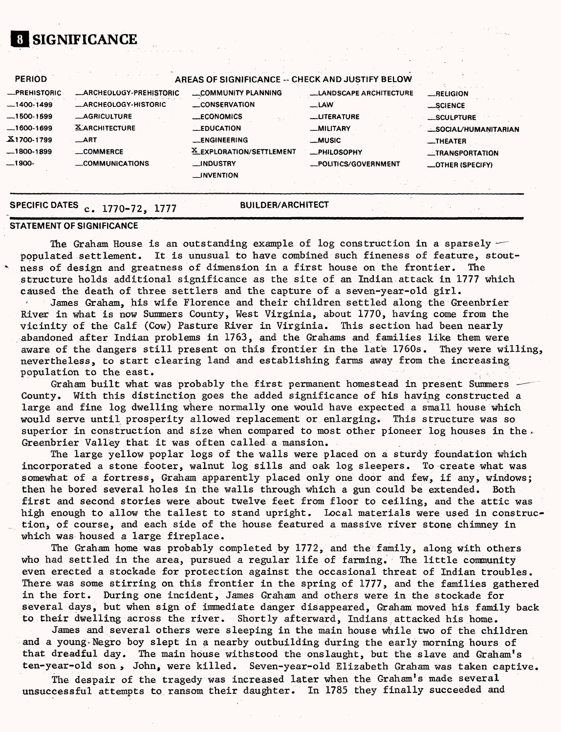## **01 SIGNIFICANCE**

| -PREHISTORIC-  | -ARCHEOLOGY-PREHISTORIC     | COMMUNITY PLANNING       | __LANDSCAPE ARCHITECTURE | _RELIGION            |
|----------------|-----------------------------|--------------------------|--------------------------|----------------------|
| $-1400-1499$   | <b>_ARCHEOLOGY-HISTORIC</b> | __CONSERVATION           | $-LAW$                   | _SCIENCE             |
| $-1500-1599$   | <b>LAGRICULTURE</b>         | <b>ECONOMICS</b>         | <b>LUTERATURE</b>        | _SCULPTURE           |
| $-1600 - 1699$ | <b>XARCHITECTURE</b>        | $\equiv$ EDUCATION       | _MILITARY                | _SOCIAL/HUMANITARIAN |
| X1700-1799     | $\_$ ART                    | <b>LENGINEERING</b>      | _MUSIC                   | $\equiv$ THEATER     |
| $-1800-1899$   | <b>LOMMERCE</b>             | X EXPLORATION/SETTLEMENT | -PHILOSOPHY              | -TRANSPORTATION      |
| $-1900-$       | COMMUNICATIONS              | <b>MDUSTRY</b>           | -POLITICS/GOVERNMENT     | -OTHER (SPECIFY)     |
|                |                             | __INVENTION              |                          |                      |

## **SPECIFIC DATES c. 1770-72, 1777**

**BUILDER/ARCHITECT** 

#### **STATEMENT OF SIGNIFICANCE**

The Graham House is an outstanding example of log construction in a sparsely  $$ populated settlement. It is unusual to have combined such fineness of feature, stout- ' ness of design and greatness of dimension in a first house on the frontier. The structure holds additional significance as the site of an Indian attack in 1777 which caused the death of three settlers and the capture of a seven-year-old girl.

James Graham, his wife Florence and their children settled along the Greenbrier River in what is now Summers County, West Virginia, about 1770, having come from the vicinity of the Calf (Cow) Pasture River in Virginia. This section had been nearly abandoned after Indian problems in 1763, and the Grahams and families like them were aware of the dangers still present on this frontier in the late 1760s. They were willing, nevertheless, to start clearing land and establishing farms away from the increasing population to the east.

Graham built what was probably the first permanent homestead in present Summers County. With this distinction goes the added significance of his having constructed a large and fine log dwelling where normally one would have expected a small house which would serve until prosperity allowed replacement or enlarging. This structure was so superior in construction and size when compared to most other pioneer log houses in the  $\sqrt{ }$ Greenbrier Valley that it was often called a mansion.

The large yellow poplar logs of the walls were placed oh a sturdy foundation which incorporated a stone footer, walnut log sills and oak log sleepers. To create what was somewhat of a fortress, Graham apparently placed only one door and few, if any, windows; then he bored several holes in the walls through which a gun could be extended. Both first and second stories were about twelve feet from floor to ceiling, and the attic was high enough to allow the tallest to stand upright. Local materials were used in construction, of course, and each side of the house featured a massive river stone chimney in which was housed a large fireplace.

The Graham home was probably completed by 1772, and the family, along with others who had settled in the area, pursued a regular life of farming. The little community even erected a stockade for protection against the occasional threat of Indian troubles. There was some stirring on this frontier in the spring of 1777, and the families gathered in the fort. During one incident, James Graham and others were in the stockade for several days, but when sign of immediate danger disappeared, Graham moved his family back to their dwelling across the river. Shortly afterward, Indians attacked his home.

James and several others were sleeping in the main house while two of the children and a young-Negro boy slept in a nearby outbuilding during the early morning hours of that dreadful day. The main house withstood the onslaught, but the slave and Graham's ten-year-old son > John, were killed. Seven-year-old Elizabeth Graham was taken captive.

The despair of the tragedy was increased later when the Graham's made several unsuccessful attempts to ransom their daughter. In 1785 they finally succeeded and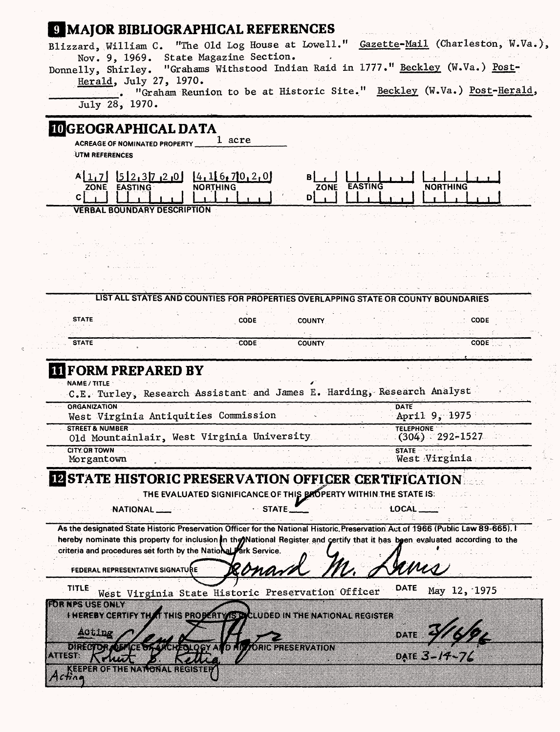| Blizzard, William C. "The Old Log House at Lowell." Gazette-Mail (Charleston, W.Va.),<br>Nov. 9, 1969. State Magazine Section.<br>Donnelly, Shirley. "Grahams Withstood Indian Raid in 1777." Beckley (W.Va.) Post-<br>Herald, July 27, 1970.                    |                                         |
|------------------------------------------------------------------------------------------------------------------------------------------------------------------------------------------------------------------------------------------------------------------|-----------------------------------------|
| "Graham Reunion to be at Historic Site." Beckley (W.Va.) Post-Herald,<br>July 28, 1970.                                                                                                                                                                          |                                         |
| <b>IDGEOGRAPHICAL DATA</b>                                                                                                                                                                                                                                       |                                         |
| 1 acre<br><b>ACREAGE OF NOMINATED PROPERTY</b><br>UTM REFERENCES                                                                                                                                                                                                 |                                         |
|                                                                                                                                                                                                                                                                  |                                         |
| $A[1,7]$ $5[2,37,2,0]$ $4,16,70,2,0$<br>ZONE EASTING<br>ZONE EASTING<br>NORTHING<br>Сļ<br>DI                                                                                                                                                                     | NORTHING                                |
| <b>VERBAL BOUNDARY DESCRIPTION</b>                                                                                                                                                                                                                               |                                         |
|                                                                                                                                                                                                                                                                  |                                         |
|                                                                                                                                                                                                                                                                  |                                         |
|                                                                                                                                                                                                                                                                  |                                         |
|                                                                                                                                                                                                                                                                  |                                         |
| LIST ALL STATES AND COUNTIES FOR PROPERTIES OVERLAPPING STATE OR COUNTY BOUNDARIES                                                                                                                                                                               |                                         |
| <b>STATE</b><br>CODE<br><b>COUNTY</b>                                                                                                                                                                                                                            | CODE                                    |
|                                                                                                                                                                                                                                                                  |                                         |
| <b>STATE</b><br><b>CODE</b><br><b>COUNTY</b><br><b>TI FORM PREPARED BY</b><br>NAME / TITLE                                                                                                                                                                       | CODE :                                  |
| C.E. Turley, Research Assistant and James E. Harding, Research Analyst<br>ORGANIZATION<br>West Virginia Antiquities Commission                                                                                                                                   | <b>DATE</b><br>April 9, 1975            |
| <b>STREET &amp; NUMBER</b>                                                                                                                                                                                                                                       | <b>TELEPHONE</b>                        |
| Old Mountainlair, West Virginia University<br><b>CITY OR TOWN</b>                                                                                                                                                                                                | $(304)$ 292-1527<br>STATE <b>Strate</b> |
| Morgantown                                                                                                                                                                                                                                                       | West Virginia                           |
| <b>IN STATE HISTORIC PRESERVATION OFFICER CERTIFICATION</b>                                                                                                                                                                                                      |                                         |
| THE EVALUATED SIGNIFICANCE OF THIS BROPERTY WITHIN THE STATE IS:                                                                                                                                                                                                 | LOCAL___                                |
| STATE_<br>NATIONAL ____                                                                                                                                                                                                                                          |                                         |
| As the designated State Historic Preservation Officer for the National Historic, Preservation Act of 1966 (Public Law 89-665), I<br>hereby nominate this property for inclusion in the Mational Register and certify that it has been evaluated according to the |                                         |
| criteria and procedures set forth by the National Fark Service.                                                                                                                                                                                                  |                                         |
| <b>FEDERAL REPRESENTATIVE SIGNATURE</b>                                                                                                                                                                                                                          |                                         |
| <b>TITLE</b><br>West Virginia State Historic Preservation Officer                                                                                                                                                                                                | DATE<br>May 12, 1975                    |
| rini pengentin                                                                                                                                                                                                                                                   |                                         |
| I NEREBY CERTIFY THAT THIS PRODUCT VISTA LUDED IN THE NATIONAL REGISTER                                                                                                                                                                                          |                                         |
| یون وی                                                                                                                                                                                                                                                           | DATE                                    |
| <u>Dharf Tigrictigir i Tigri</u><br>olo asiinkiikkavaitoi<br>uma<br>a ma<br><u>Keele Komeistava jot</u><br>ા ત્રવલ દિગ્ના શ્રુ ત્રણ                                                                                                                              | 0. TEST 167                             |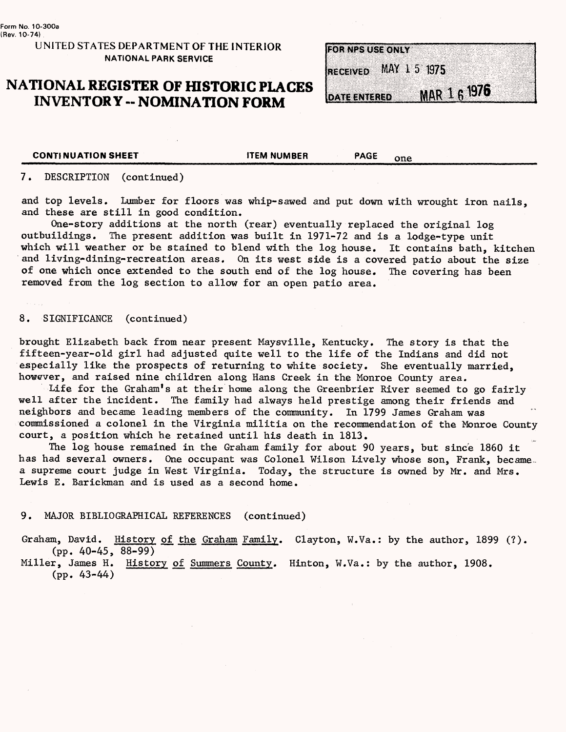## **UNITED STATES DEPARTMENT OF THE INTERIOR NATIONAL PARK SERVICE**

## **NATIONAL REGISTER OF HISTORIC PLACES INVENTORY -- NOMINATION FORM**

|  |  |                 | <b>FOR NPS USE ONLY</b> |             |  |  |  |              |  |  |  |  |  |  |
|--|--|-----------------|-------------------------|-------------|--|--|--|--------------|--|--|--|--|--|--|
|  |  |                 |                         |             |  |  |  |              |  |  |  |  |  |  |
|  |  |                 |                         |             |  |  |  |              |  |  |  |  |  |  |
|  |  |                 |                         |             |  |  |  |              |  |  |  |  |  |  |
|  |  | <b>RECEIVED</b> |                         | MAY 15 1975 |  |  |  |              |  |  |  |  |  |  |
|  |  |                 |                         |             |  |  |  |              |  |  |  |  |  |  |
|  |  |                 |                         |             |  |  |  |              |  |  |  |  |  |  |
|  |  |                 |                         |             |  |  |  |              |  |  |  |  |  |  |
|  |  |                 |                         |             |  |  |  |              |  |  |  |  |  |  |
|  |  |                 | <b>DATE ENTERED</b>     |             |  |  |  | MAR 1 6 1976 |  |  |  |  |  |  |
|  |  |                 |                         |             |  |  |  |              |  |  |  |  |  |  |

**CONTINUATION SHEET THEM NUMBER THEM NUMBER** 

#### 7. DESCRIPTION (continued)

and top levels. Lumber for floors was whip-sawed and put down with wrought iron nails, and these are still in good condition.

One-story additions at the north (rear) eventually replaced the original log outbuildings. The present addition was built in 1971-72 and is a lodge-type unit which will weather or be stained to blend with the log house. It contains bath, kitchen and living-dining-recreation areas. On its west side is a covered patio about the size of one which once extended to the south end of the log house. The covering has been removed from the log section to allow for an open patio area.

#### 8. SIGNIFICANCE (continued)

brought Elizabeth back from near present Maysville, Kentucky. The story is that the fifteen-year-old girl had adjusted quite well to the life of the Indians and did not especially like the prospects of returning to white society. She eventually married, however, and raised nine children along Hans Creek in the Monroe County area.

Life for the Graham's at their home along the Greenbrier River seemed to go fairly well after the incident. The family had always held prestige among their friends and neighbors and became leading members of the community. In 1799 James Graham was commissioned a colonel in the Virginia militia on the recommendation of the Monroe County court, a position which he retained until his death in 1813.

The log house remained in the Graham family for about 90 years, but since 1860 it has had several owners. One occupant was Colonel Wilson Lively whose son, Frank, became. a supreme court judge in West Virginia. Today, the structure is owned by Mr. and Mrs. Lewis E. Barickman and is used as a second home.

#### 9. MAJOR BIBLIOGRAPHICAL REFERENCES (continued)

Graham, David. History of the Graham Family. Clayton, W.Va.: by the author, 1899 (?). (pp. 40-45, 88-99)

Miller. James H. History of Summers County. Hinton, W.Va.: by the author, 1908. (pp. 43-44)